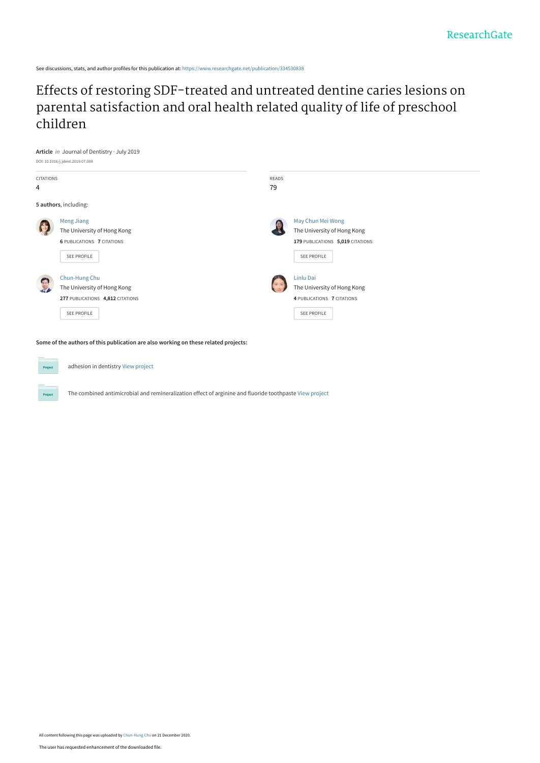See discussions, stats, and author profiles for this publication at: [https://www.researchgate.net/publication/334530838](https://www.researchgate.net/publication/334530838_Effects_of_restoring_SDF-treated_and_untreated_dentine_caries_lesions_on_parental_satisfaction_and_oral_health_related_quality_of_life_of_preschool_children?enrichId=rgreq-2db505c2d015c2367ee8f625a24d2805-XXX&enrichSource=Y292ZXJQYWdlOzMzNDUzMDgzODtBUzo5NzEwNzg3Mjk5OTQyNDBAMTYwODUzNDYxOTA4Nw%3D%3D&el=1_x_2&_esc=publicationCoverPdf)

[Effects of restoring SDF-treated and untreated dentine caries lesions on](https://www.researchgate.net/publication/334530838_Effects_of_restoring_SDF-treated_and_untreated_dentine_caries_lesions_on_parental_satisfaction_and_oral_health_related_quality_of_life_of_preschool_children?enrichId=rgreq-2db505c2d015c2367ee8f625a24d2805-XXX&enrichSource=Y292ZXJQYWdlOzMzNDUzMDgzODtBUzo5NzEwNzg3Mjk5OTQyNDBAMTYwODUzNDYxOTA4Nw%3D%3D&el=1_x_3&_esc=publicationCoverPdf) parental satisfaction and oral health related quality of life of preschool children



**Some of the authors of this publication are also working on these related projects:**



adhesion in dentistry [View project](https://www.researchgate.net/project/adhesion-in-dentistry?enrichId=rgreq-2db505c2d015c2367ee8f625a24d2805-XXX&enrichSource=Y292ZXJQYWdlOzMzNDUzMDgzODtBUzo5NzEwNzg3Mjk5OTQyNDBAMTYwODUzNDYxOTA4Nw%3D%3D&el=1_x_9&_esc=publicationCoverPdf)



The combined antimicrobial and remineralization effect of arginine and fluoride toothpaste [View project](https://www.researchgate.net/project/The-combined-antimicrobial-and-remineralization-effect-of-arginine-and-fluoride-toothpaste?enrichId=rgreq-2db505c2d015c2367ee8f625a24d2805-XXX&enrichSource=Y292ZXJQYWdlOzMzNDUzMDgzODtBUzo5NzEwNzg3Mjk5OTQyNDBAMTYwODUzNDYxOTA4Nw%3D%3D&el=1_x_9&_esc=publicationCoverPdf)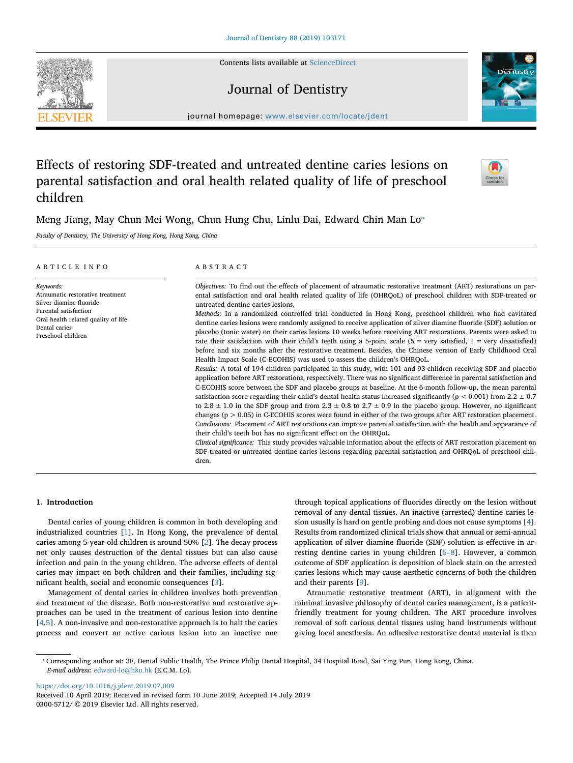Contents lists available at ScienceDirect

## Journal of Dentistry

journal homepage: www.elsevier.com/locate/jdent

# Effects of restoring SDF-treated and untreated dentine caries lesions on parental satisfaction and oral health related quality of life of preschool children

Meng Jiang, May Chun Mei Wong, Chun Hung Chu, Linlu Dai, Edward Chin Man Lo<sup>®</sup>

*Faculty of Dentistry, The University of Hong Kong, Hong Kong, China*

| ARTICLE INFO                                                                                                                                                                    | ABSTRACT                                                                                                                                                                                                                                                                                                                                                                                                                                                                                                                                                                                                                                                                                                                                                                                                                                                                                                                                                                                                                                                                                                                                                                                                                                                                                                                                                                                                                                                                                                                                                                                                                                                                                                                                                                                                                                                                                                                                                                                                                                                                                                                            |
|---------------------------------------------------------------------------------------------------------------------------------------------------------------------------------|-------------------------------------------------------------------------------------------------------------------------------------------------------------------------------------------------------------------------------------------------------------------------------------------------------------------------------------------------------------------------------------------------------------------------------------------------------------------------------------------------------------------------------------------------------------------------------------------------------------------------------------------------------------------------------------------------------------------------------------------------------------------------------------------------------------------------------------------------------------------------------------------------------------------------------------------------------------------------------------------------------------------------------------------------------------------------------------------------------------------------------------------------------------------------------------------------------------------------------------------------------------------------------------------------------------------------------------------------------------------------------------------------------------------------------------------------------------------------------------------------------------------------------------------------------------------------------------------------------------------------------------------------------------------------------------------------------------------------------------------------------------------------------------------------------------------------------------------------------------------------------------------------------------------------------------------------------------------------------------------------------------------------------------------------------------------------------------------------------------------------------------|
| Keywords:<br>Atraumatic restorative treatment<br>Silver diamine fluoride<br>Parental satisfaction<br>Oral health related quality of life<br>Dental caries<br>Preschool children | Objectives: To find out the effects of placement of atraumatic restorative treatment (ART) restorations on par-<br>ental satisfaction and oral health related quality of life (OHROoL) of preschool children with SDF-treated or<br>untreated dentine caries lesions.<br>Methods: In a randomized controlled trial conducted in Hong Kong, preschool children who had cavitated<br>dentine caries lesions were randomly assigned to receive application of silver diamine fluoride (SDF) solution or<br>placebo (tonic water) on their caries lesions 10 weeks before receiving ART restorations. Parents were asked to<br>rate their satisfaction with their child's teeth using a 5-point scale $(5 = \text{very satisfied}, 1 = \text{very dissatisfied})$<br>before and six months after the restorative treatment. Besides, the Chinese version of Early Childhood Oral<br>Health Impact Scale (C-ECOHIS) was used to assess the children's OHROoL.<br>Results: A total of 194 children participated in this study, with 101 and 93 children receiving SDF and placebo<br>application before ART restorations, respectively. There was no significant difference in parental satisfaction and<br>C-ECOHIS score between the SDF and placebo groups at baseline. At the 6-month follow-up, the mean parental<br>satisfaction score regarding their child's dental health status increased significantly ( $p < 0.001$ ) from 2.2 $\pm$ 0.7<br>to 2.8 $\pm$ 1.0 in the SDF group and from 2.3 $\pm$ 0.8 to 2.7 $\pm$ 0.9 in the placebo group. However, no significant<br>changes ( $p > 0.05$ ) in C-ECOHIS scores were found in either of the two groups after ART restoration placement.<br>Conclusions: Placement of ART restorations can improve parental satisfaction with the health and appearance of<br>their child's teeth but has no significant effect on the OHRQoL.<br>Clinical significance: This study provides valuable information about the effects of ART restoration placement on<br>SDF-treated or untreated dentine caries lesions regarding parental satisfaction and OHRQoL of preschool chil-<br>dren. |

## **1. Introduction**

Dental caries of young children is common in both developing and industrialized countries [1]. In Hong Kong, the prevalence of dental caries among 5-year-old children is around 50% [2]. The decay process not only causes destruction of the dental tissues but can also cause infection and pain in the young children. The adverse effects of dental caries may impact on both children and their families, including significant health, social and economic consequences [3].

Management of dental caries in children involves both prevention and treatment of the disease. Both non-restorative and restorative approaches can be used in the treatment of carious lesion into dentine [4,5]. A non-invasive and non-restorative approach is to halt the caries process and convert an active carious lesion into an inactive one through topical applications of fluorides directly on the lesion without removal of any dental tissues. An inactive (arrested) dentine caries lesion usually is hard on gentle probing and does not cause symptoms [4]. Results from randomized clinical trials show that annual or semi-annual application of silver diamine fluoride (SDF) solution is effective in arresting dentine caries in young children [6–8]. However, a common outcome of SDF application is deposition of black stain on the arrested caries lesions which may cause aesthetic concerns of both the children and their parents [9].

Atraumatic restorative treatment (ART), in alignment with the minimal invasive philosophy of dental caries management, is a patientfriendly treatment for young children. The ART procedure involves removal of soft carious dental tissues using hand instruments without giving local anesthesia. An adhesive restorative dental material is then

https://doi.org/10.1016/j.jdent.2019.07.009







<sup>⁎</sup> Corresponding author at: 3F, Dental Public Health, The Prince Philip Dental Hospital, 34 Hospital Road, Sai Ying Pun, Hong Kong, China. *E-mail address:* edward-lo@hku.hk (E.C.M. Lo).

Received 10 April 2019; Received in revised form 10 June 2019; Accepted 14 July 2019 0300-5712/ © 2019 Elsevier Ltd. All rights reserved.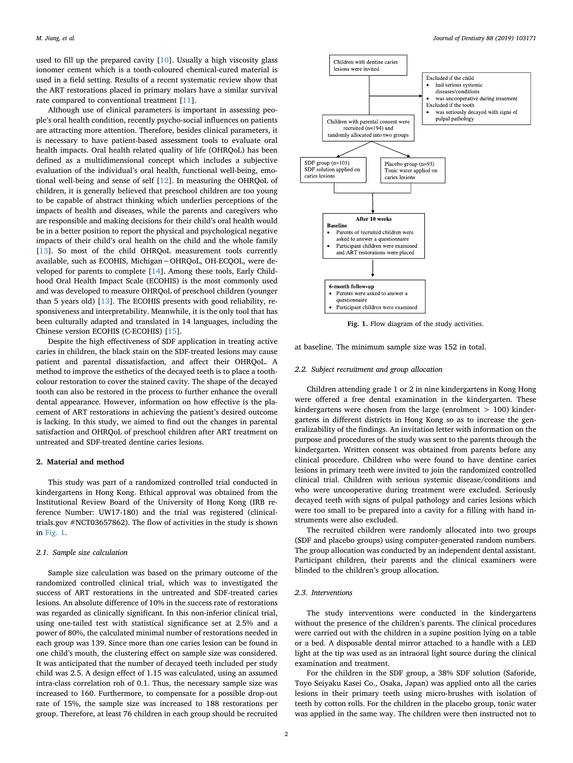used to fill up the prepared cavity [10]. Usually a high viscosity glass ionomer cement which is a tooth-coloured chemical-cured material is used in a field setting. Results of a recent systematic review show that the ART restorations placed in primary molars have a similar survival rate compared to conventional treatment [11].

Although use of clinical parameters is important in assessing people's oral health condition, recently psycho-social influences on patients are attracting more attention. Therefore, besides clinical parameters, it is necessary to have patient-based assessment tools to evaluate oral health impacts. Oral health related quality of life (OHRQoL) has been defined as a multidimensional concept which includes a subjective evaluation of the individual's oral health, functional well-being, emotional well-being and sense of self [12]. In measuring the OHRQoL of children, it is generally believed that preschool children are too young to be capable of abstract thinking which underlies perceptions of the impacts of health and diseases, while the parents and caregivers who are responsible and making decisions for their child's oral health would be in a better position to report the physical and psychological negative impacts of their child's oral health on the child and the whole family [13]. So most of the child OHRQoL measurement tools currently available, such as ECOHIS, Michigan−OHRQoL, OH-ECQOL, were developed for parents to complete [14]. Among these tools, Early Childhood Oral Health Impact Scale (ECOHIS) is the most commonly used and was developed to measure OHRQoL of preschool children (younger than 5 years old) [13]. The ECOHIS presents with good reliability, responsiveness and interpretability. Meanwhile, it is the only tool that has been culturally adapted and translated in 14 languages, including the Chinese version ECOHIS (C-ECOHIS) [15].

Despite the high effectiveness of SDF application in treating active caries in children, the black stain on the SDF-treated lesions may cause patient and parental dissatisfaction, and affect their OHRQoL. A method to improve the esthetics of the decayed teeth is to place a toothcolour restoration to cover the stained cavity. The shape of the decayed tooth can also be restored in the process to further enhance the overall dental appearance. However, information on how effective is the placement of ART restorations in achieving the patient's desired outcome is lacking. In this study, we aimed to find out the changes in parental satisfaction and OHRQoL of preschool children after ART treatment on untreated and SDF-treated dentine caries lesions.

#### **2. Material and method**

This study was part of a randomized controlled trial conducted in kindergartens in Hong Kong. Ethical approval was obtained from the Institutional Review Board of the University of Hong Kong (IRB reference Number: UW17-180) and the trial was registered (clinicaltrials.gov #NCT03657862). The flow of activities in the study is shown in Fig. 1.

#### *2.1. Sample size calculation*

Sample size calculation was based on the primary outcome of the randomized controlled clinical trial, which was to investigated the success of ART restorations in the untreated and SDF-treated caries lesions. An absolute difference of 10% in the success rate of restorations was regarded as clinically significant. In this non-inferior clinical trial, using one-tailed test with statistical significance set at 2.5% and a power of 80%, the calculated minimal number of restorations needed in each group was 139. Since more than one caries lesion can be found in one child's mouth, the clustering effect on sample size was considered. It was anticipated that the number of decayed teeth included per study child was 2.5. A design effect of 1.15 was calculated, using an assumed intra-class correlation roh of 0.1. Thus, the necessary sample size was increased to 160. Furthermore, to compensate for a possible drop-out rate of 15%, the sample size was increased to 188 restorations per group. Therefore, at least 76 children in each group should be recruited



**Fig. 1.** Flow diagram of the study activities.

at baseline. The minimum sample size was 152 in total.

## *2.2. Subject recruitment and group allocation*

Children attending grade 1 or 2 in nine kindergartens in Kong Hong were offered a free dental examination in the kindergarten. These kindergartens were chosen from the large (enrolment  $> 100$ ) kindergartens in different districts in Hong Kong so as to increase the generalizability of the findings. An invitation letter with information on the purpose and procedures of the study was sent to the parents through the kindergarten. Written consent was obtained from parents before any clinical procedure. Children who were found to have dentine caries lesions in primary teeth were invited to join the randomized controlled clinical trial. Children with serious systemic disease/conditions and who were uncooperative during treatment were excluded. Seriously decayed teeth with signs of pulpal pathology and caries lesions which were too small to be prepared into a cavity for a filling with hand instruments were also excluded.

The recruited children were randomly allocated into two groups (SDF and placebo groups) using computer-generated random numbers. The group allocation was conducted by an independent dental assistant. Participant children, their parents and the clinical examiners were blinded to the children's group allocation.

## *2.3. Interventions*

The study interventions were conducted in the kindergartens without the presence of the children's parents. The clinical procedures were carried out with the children in a supine position lying on a table or a bed. A disposable dental mirror attached to a handle with a LED light at the tip was used as an intraoral light source during the clinical examination and treatment.

For the children in the SDF group, a 38% SDF solution (Saforide, Toyo Seiyaku Kasei Co., Osaka, Japan) was applied onto all the caries lesions in their primary teeth using micro-brushes with isolation of teeth by cotton rolls. For the children in the placebo group, tonic water was applied in the same way. The children were then instructed not to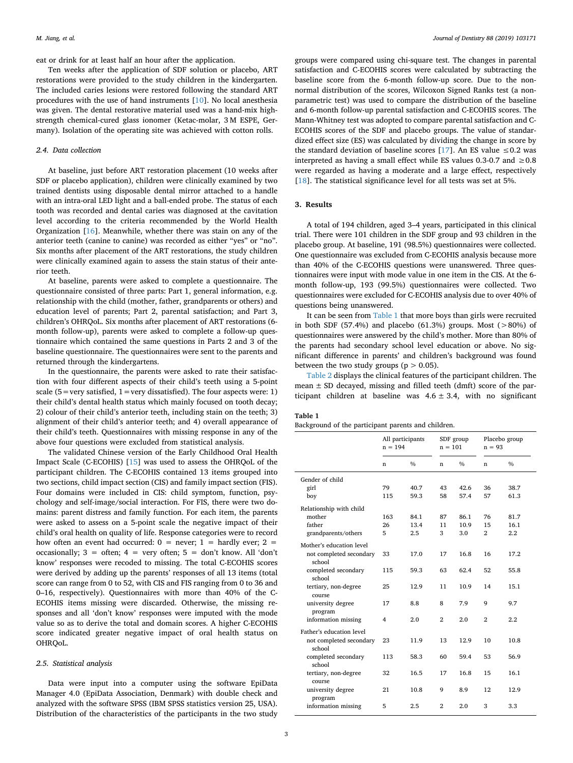eat or drink for at least half an hour after the application.

Ten weeks after the application of SDF solution or placebo, ART restorations were provided to the study children in the kindergarten. The included caries lesions were restored following the standard ART procedures with the use of hand instruments [10]. No local anesthesia was given. The dental restorative material used was a hand-mix highstrength chemical-cured glass ionomer (Ketac-molar, 3 M ESPE, Germany). Isolation of the operating site was achieved with cotton rolls.

## *2.4. Data collection*

At baseline, just before ART restoration placement (10 weeks after SDF or placebo application), children were clinically examined by two trained dentists using disposable dental mirror attached to a handle with an intra-oral LED light and a ball-ended probe. The status of each tooth was recorded and dental caries was diagnosed at the cavitation level according to the criteria recommended by the World Health Organization [16]. Meanwhile, whether there was stain on any of the anterior teeth (canine to canine) was recorded as either "yes" or "no". Six months after placement of the ART restorations, the study children were clinically examined again to assess the stain status of their anterior teeth.

At baseline, parents were asked to complete a questionnaire. The questionnaire consisted of three parts: Part 1, general information, e.g. relationship with the child (mother, father, grandparents or others) and education level of parents; Part 2, parental satisfaction; and Part 3, children's OHRQoL. Six months after placement of ART restorations (6 month follow-up), parents were asked to complete a follow-up questionnaire which contained the same questions in Parts 2 and 3 of the baseline questionnaire. The questionnaires were sent to the parents and returned through the kindergartens.

In the questionnaire, the parents were asked to rate their satisfaction with four different aspects of their child's teeth using a 5-point scale ( $5$  = very satisfied,  $1$  = very dissatisfied). The four aspects were: 1) their child's dental health status which mainly focused on tooth decay; 2) colour of their child's anterior teeth, including stain on the teeth; 3) alignment of their child's anterior teeth; and 4) overall appearance of their child's teeth. Questionnaires with missing response in any of the above four questions were excluded from statistical analysis.

The validated Chinese version of the Early Childhood Oral Health Impact Scale (C-ECOHIS) [15] was used to assess the OHRQoL of the participant children. The C-ECOHIS contained 13 items grouped into two sections, child impact section (CIS) and family impact section (FIS). Four domains were included in CIS: child symptom, function, psychology and self-image/social interaction. For FIS, there were two domains: parent distress and family function. For each item, the parents were asked to assess on a 5-point scale the negative impact of their child's oral health on quality of life. Response categories were to record how often an event had occurred:  $0 =$  never;  $1 =$  hardly ever;  $2 =$ occasionally;  $3 =$  often;  $4 =$  very often;  $5 =$  don't know. All 'don't know' responses were recoded to missing. The total C-ECOHIS scores were derived by adding up the parents' responses of all 13 items (total score can range from 0 to 52, with CIS and FIS ranging from 0 to 36 and 0–16, respectively). Questionnaires with more than 40% of the C-ECOHIS items missing were discarded. Otherwise, the missing responses and all 'don't know' responses were imputed with the mode value so as to derive the total and domain scores. A higher C-ECOHIS score indicated greater negative impact of oral health status on OHRQoL.

#### *2.5. Statistical analysis*

Data were input into a computer using the software EpiData Manager 4.0 (EpiData Association, Denmark) with double check and analyzed with the software SPSS (IBM SPSS statistics version 25, USA). Distribution of the characteristics of the participants in the two study

groups were compared using chi-square test. The changes in parental satisfaction and C-ECOHIS scores were calculated by subtracting the baseline score from the 6-month follow-up score. Due to the nonnormal distribution of the scores, Wilcoxon Signed Ranks test (a nonparametric test) was used to compare the distribution of the baseline and 6-month follow-up parental satisfaction and C-ECOHIS scores. The Mann-Whitney test was adopted to compare parental satisfaction and C-ECOHIS scores of the SDF and placebo groups. The value of standardized effect size (ES) was calculated by dividing the change in score by the standard deviation of baseline scores [17]. An ES value  $\leq 0.2$  was interpreted as having a small effect while ES values 0.3-0.7 and  $\geq 0.8$ were regarded as having a moderate and a large effect, respectively [18]. The statistical significance level for all tests was set at 5%.

## **3. Results**

A total of 194 children, aged 3–4 years, participated in this clinical trial. There were 101 children in the SDF group and 93 children in the placebo group. At baseline, 191 (98.5%) questionnaires were collected. One questionnaire was excluded from C-ECOHIS analysis because more than 40% of the C-ECOHIS questions were unanswered. Three questionnaires were input with mode value in one item in the CIS. At the 6 month follow-up, 193 (99.5%) questionnaires were collected. Two questionnaires were excluded for C-ECOHIS analysis due to over 40% of questions being unanswered.

It can be seen from Table 1 that more boys than girls were recruited in both SDF (57.4%) and placebo (61.3%) groups. Most ( $>80\%$ ) of questionnaires were answered by the child's mother. More than 80% of the parents had secondary school level education or above. No significant difference in parents' and children's background was found between the two study groups ( $p > 0.05$ ).

Table 2 displays the clinical features of the participant children. The mean  $\pm$  SD decayed, missing and filled teeth (dmft) score of the participant children at baseline was  $4.6 \pm 3.4$ , with no significant

**Table 1**

|  | Background of the participant parents and children. |  |  |  |  |  |
|--|-----------------------------------------------------|--|--|--|--|--|
|--|-----------------------------------------------------|--|--|--|--|--|

|                                   | All participants<br>$n = 194$ |               | SDF group<br>$n = 101$ |               | Placebo group<br>$n = 93$ |               |  |
|-----------------------------------|-------------------------------|---------------|------------------------|---------------|---------------------------|---------------|--|
|                                   | n                             | $\frac{0}{0}$ | n                      | $\frac{0}{0}$ | n                         | $\frac{0}{0}$ |  |
| Gender of child                   |                               |               |                        |               |                           |               |  |
| girl                              | 79                            | 40.7          | 43                     | 42.6          | 36                        | 38.7          |  |
| boy                               | 115                           | 59.3          | 58                     | 57.4          | 57                        | 61.3          |  |
| Relationship with child           |                               |               |                        |               |                           |               |  |
| mother                            | 163                           | 84.1          | 87                     | 86.1          | 76                        | 81.7          |  |
| father                            | 26                            | 13.4          | 11                     | 10.9          | 15                        | 16.1          |  |
| grandparents/others               | 5                             | 2.5           | 3                      | 3.0           | $\overline{2}$            | $2.2\,$       |  |
| Mother's education level          |                               |               |                        |               |                           |               |  |
| not completed secondary<br>school | 33                            | 17.0          | 17                     | 16.8          | 16                        | 17.2          |  |
| completed secondary<br>school     | 115                           | 59.3          | 63                     | 62.4          | 52                        | 55.8          |  |
| tertiary, non-degree<br>course    | 25                            | 12.9          | 11                     | 10.9          | 14                        | 15.1          |  |
| university degree<br>program      | 17                            | 8.8           | 8                      | 7.9           | 9                         | 9.7           |  |
| information missing               | 4                             | 2.0           | $\mathbf{2}$           | 2.0           | $\mathbf{2}$              | 2.2           |  |
| Father's education level          |                               |               |                        |               |                           |               |  |
| not completed secondary<br>school | 23                            | 11.9          | 13                     | 12.9          | 10                        | 10.8          |  |
| completed secondary<br>school     | 113                           | 58.3          | 60                     | 59.4          | 53                        | 56.9          |  |
| tertiary, non-degree<br>course    | 32                            | 16.5          | 17                     | 16.8          | 15                        | 16.1          |  |
| university degree<br>program      | 21                            | 10.8          | 9                      | 8.9           | 12                        | 12.9          |  |
| information missing               | 5                             | 2.5           | $\overline{2}$         | 2.0           | 3                         | 3.3           |  |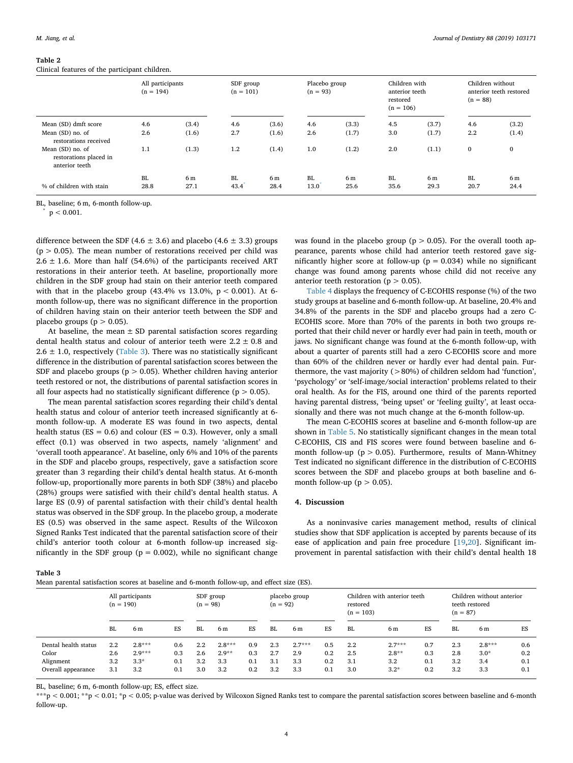#### **Table 2**

Clinical features of the participant children.

|                                                                   | All participants<br>$(n = 194)$ |                        | SDF group<br>$(n = 101)$ |                | Placebo group<br>$(n = 93)$ |                        | Children with<br>anterior teeth<br>restored<br>$(n = 106)$ |                | Children without<br>anterior teeth restored<br>$(n = 88)$ |                        |
|-------------------------------------------------------------------|---------------------------------|------------------------|--------------------------|----------------|-----------------------------|------------------------|------------------------------------------------------------|----------------|-----------------------------------------------------------|------------------------|
| Mean (SD) dmft score<br>Mean (SD) no. of<br>restorations received | 4.6<br>2.6                      | (3.4)<br>(1.6)         | 4.6<br>2.7               | (3.6)<br>(1.6) | 4.6<br>2.6                  | (3.3)<br>(1.7)         | 4.5<br>3.0                                                 | (3.7)<br>(1.7) | 4.6<br>2.2                                                | (3.2)<br>(1.4)         |
| Mean (SD) no. of<br>restorations placed in<br>anterior teeth      | 1.1                             | (1.3)                  | 1.2                      | (1.4)          | 1.0                         | (1.2)                  | 2.0                                                        | (1.1)          | $\mathbf 0$                                               | $\bf{0}$               |
| % of children with stain                                          | BL<br>28.8                      | 6 <sub>m</sub><br>27.1 | BL<br>43.4               | 6 m<br>28.4    | BL.<br>13.0                 | 6 <sub>m</sub><br>25.6 | BL<br>35.6                                                 | 6 m<br>29.3    | <b>BL</b><br>20.7                                         | 6 <sub>m</sub><br>24.4 |

BL, baseline; 6 m, 6-month follow-up.

 $p < 0.001$ .

difference between the SDF (4.6  $\pm$  3.6) and placebo (4.6  $\pm$  3.3) groups  $(p > 0.05)$ . The mean number of restorations received per child was  $2.6 \pm 1.6$ . More than half (54.6%) of the participants received ART restorations in their anterior teeth. At baseline, proportionally more children in the SDF group had stain on their anterior teeth compared with that in the placebo group (43.4% vs  $13.0\%$ ,  $p < 0.001$ ). At 6month follow-up, there was no significant difference in the proportion of children having stain on their anterior teeth between the SDF and placebo groups ( $p > 0.05$ ).

At baseline, the mean  $\pm$  SD parental satisfaction scores regarding dental health status and colour of anterior teeth were  $2.2 \pm 0.8$  and  $2.6 \pm 1.0$ , respectively (Table 3). There was no statistically significant difference in the distribution of parental satisfaction scores between the SDF and placebo groups ( $p > 0.05$ ). Whether children having anterior teeth restored or not, the distributions of parental satisfaction scores in all four aspects had no statistically significant difference ( $p > 0.05$ ).

The mean parental satisfaction scores regarding their child's dental health status and colour of anterior teeth increased significantly at 6 month follow-up. A moderate ES was found in two aspects, dental health status ( $ES = 0.6$ ) and colour ( $ES = 0.3$ ). However, only a small effect (0.1) was observed in two aspects, namely 'alignment' and 'overall tooth appearance'. At baseline, only 6% and 10% of the parents in the SDF and placebo groups, respectively, gave a satisfaction score greater than 3 regarding their child's dental health status. At 6-month follow-up, proportionally more parents in both SDF (38%) and placebo (28%) groups were satisfied with their child's dental health status. A large ES (0.9) of parental satisfaction with their child's dental health status was observed in the SDF group. In the placebo group, a moderate ES (0.5) was observed in the same aspect. Results of the Wilcoxon Signed Ranks Test indicated that the parental satisfaction score of their child's anterior tooth colour at 6-month follow-up increased significantly in the SDF group ( $p = 0.002$ ), while no significant change

was found in the placebo group ( $p > 0.05$ ). For the overall tooth appearance, parents whose child had anterior teeth restored gave significantly higher score at follow-up ( $p = 0.034$ ) while no significant change was found among parents whose child did not receive any anterior teeth restoration ( $p > 0.05$ ).

Table 4 displays the frequency of C-ECOHIS response (%) of the two study groups at baseline and 6-month follow-up. At baseline, 20.4% and 34.8% of the parents in the SDF and placebo groups had a zero C-ECOHIS score. More than 70% of the parents in both two groups reported that their child never or hardly ever had pain in teeth, mouth or jaws. No significant change was found at the 6-month follow-up, with about a quarter of parents still had a zero C-ECOHIS score and more than 60% of the children never or hardly ever had dental pain. Furthermore, the vast majority (>80%) of children seldom had 'function', 'psychology' or 'self-image/social interaction' problems related to their oral health. As for the FIS, around one third of the parents reported having parental distress, 'being upset' or 'feeling guilty', at least occasionally and there was not much change at the 6-month follow-up.

The mean C-ECOHIS scores at baseline and 6-month follow-up are shown in Table 5. No statistically significant changes in the mean total C-ECOHIS, CIS and FIS scores were found between baseline and 6 month follow-up ( $p > 0.05$ ). Furthermore, results of Mann-Whitney Test indicated no significant difference in the distribution of C-ECOHIS scores between the SDF and placebo groups at both baseline and 6 month follow-up ( $p > 0.05$ ).

## **4. Discussion**

As a noninvasive caries management method, results of clinical studies show that SDF application is accepted by parents because of its ease of application and pain free procedure [19,20]. Significant improvement in parental satisfaction with their child's dental health 18

**Table 3**

|  |  | Mean parental satisfaction scores at baseline and 6-month follow-up, and effect size (ES). |  |  |  |  |  |  |  |
|--|--|--------------------------------------------------------------------------------------------|--|--|--|--|--|--|--|
|--|--|--------------------------------------------------------------------------------------------|--|--|--|--|--|--|--|

| $m$ , $m$ , $m$ , $m$ , $m$ , $m$ , $m$ , $m$ , $m$ , $m$ , $m$ , $m$ , $m$ , $m$ , $m$ , $m$ , $m$ |                                 |          |                         |     |                             |     |                                                         |          |     |                                                           |          |     |     |          |     |
|-----------------------------------------------------------------------------------------------------|---------------------------------|----------|-------------------------|-----|-----------------------------|-----|---------------------------------------------------------|----------|-----|-----------------------------------------------------------|----------|-----|-----|----------|-----|
|                                                                                                     | All participants<br>$(n = 190)$ |          | SDF group<br>$(n = 98)$ |     | placebo group<br>$(n = 92)$ |     | Children with anterior teeth<br>restored<br>$(n = 103)$ |          |     | Children without anterior<br>teeth restored<br>$(n = 87)$ |          |     |     |          |     |
|                                                                                                     | BL                              | 6 m      | ES                      | BL  | 6 m                         | ES  | BL                                                      | 6 m      | ES  | BL                                                        | 6 m      | ES  | BL  | 6 m      | ES  |
| Dental health status                                                                                | 2.2                             | $2.8***$ | 0.6                     | 2.2 | $2.8***$                    | 0.9 | 2.3                                                     | $2.7***$ | 0.5 | 2.2                                                       | $2.7***$ | 0.7 | 2.3 | $2.8***$ | 0.6 |
| Color                                                                                               | 2.6                             | $2.9***$ | 0.3                     | 2.6 | $2.9**$                     | 0.3 | 2.7                                                     | 2.9      | 0.2 | 2.5                                                       | $2.8**$  | 0.3 | 2.8 | $3.0*$   | 0.2 |
| Alignment                                                                                           | $3.2^{\circ}$                   | $3.3*$   | 0.1                     | 3.2 | 3.3                         | 0.1 | 3.1                                                     | 3.3      | 0.2 | 3.1                                                       | 3.2      | 0.1 | 3.2 | 3.4      | 0.1 |
| Overall appearance                                                                                  | 3.1                             | 3.2      | 0.1                     | 3.0 | 3.2                         | 0.2 | 3.2                                                     | 3.3      | 0.1 | 3.0                                                       | $3.2*$   | 0.2 | 3.2 | 3.3      | 0.1 |

BL, baseline; 6 m, 6-month follow-up; ES, effect size.

\*\*\*p < 0.001; \*\*p < 0.01; \*p < 0.05; p-value was derived by Wilcoxon Signed Ranks test to compare the parental satisfaction scores between baseline and 6-month follow-up.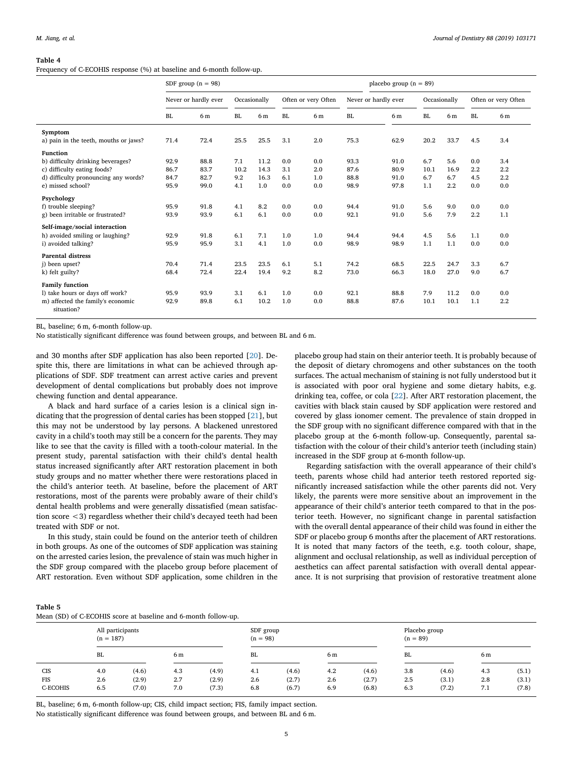#### **Table 4**

Frequency of C-ECOHIS response (%) at baseline and 6-month follow-up.

|                                                 |                      | SDF group $(n = 98)$ |              |      | placebo group $(n = 89)$ |                     |      |                      |              |      |           |                     |
|-------------------------------------------------|----------------------|----------------------|--------------|------|--------------------------|---------------------|------|----------------------|--------------|------|-----------|---------------------|
|                                                 | Never or hardly ever |                      | Occasionally |      |                          | Often or very Often |      | Never or hardly ever | Occasionally |      |           | Often or very Often |
|                                                 | <b>BL</b>            | 6 <sub>m</sub>       | BL.          | 6 m  | <b>BL</b>                | 6 m                 | BL   | 6 <sub>m</sub>       | BL           | 6 m  | <b>BL</b> | 6 <sub>m</sub>      |
| Symptom                                         |                      |                      |              |      |                          |                     |      |                      |              |      |           |                     |
| a) pain in the teeth, mouths or jaws?           | 71.4                 | 72.4                 | 25.5         | 25.5 | 3.1                      | 2.0                 | 75.3 | 62.9                 | 20.2         | 33.7 | 4.5       | 3.4                 |
| <b>Function</b>                                 |                      |                      |              |      |                          |                     |      |                      |              |      |           |                     |
| b) difficulty drinking beverages?               | 92.9                 | 88.8                 | 7.1          | 11.2 | 0.0                      | 0.0                 | 93.3 | 91.0                 | 6.7          | 5.6  | 0.0       | 3.4                 |
| c) difficulty eating foods?                     | 86.7                 | 83.7                 | 10.2         | 14.3 | 3.1                      | 2.0                 | 87.6 | 80.9                 | 10.1         | 16.9 | 2.2       | 2.2                 |
| d) difficulty pronouncing any words?            | 84.7                 | 82.7                 | 9.2          | 16.3 | 6.1                      | 1.0                 | 88.8 | 91.0                 | 6.7          | 6.7  | 4.5       | 2.2                 |
| e) missed school?                               | 95.9                 | 99.0                 | 4.1          | 1.0  | 0.0                      | 0.0                 | 98.9 | 97.8                 | 1.1          | 2.2  | 0.0       | 0.0                 |
| Psychology                                      |                      |                      |              |      |                          |                     |      |                      |              |      |           |                     |
| f) trouble sleeping?                            | 95.9                 | 91.8                 | 4.1          | 8.2  | 0.0                      | 0.0                 | 94.4 | 91.0                 | 5.6          | 9.0  | 0.0       | 0.0                 |
| g) been irritable or frustrated?                | 93.9                 | 93.9                 | 6.1          | 6.1  | 0.0                      | 0.0                 | 92.1 | 91.0                 | 5.6          | 7.9  | 2.2       | 1.1                 |
| Self-image/social interaction                   |                      |                      |              |      |                          |                     |      |                      |              |      |           |                     |
| h) avoided smiling or laughing?                 | 92.9                 | 91.8                 | 6.1          | 7.1  | 1.0                      | 1.0                 | 94.4 | 94.4                 | 4.5          | 5.6  | 1.1       | 0.0                 |
| i) avoided talking?                             | 95.9                 | 95.9                 | 3.1          | 4.1  | 1.0                      | 0.0                 | 98.9 | 98.9                 | 1.1          | 1.1  | 0.0       | 0.0                 |
| <b>Parental distress</b>                        |                      |                      |              |      |                          |                     |      |                      |              |      |           |                     |
| i) been upset?                                  | 70.4                 | 71.4                 | 23.5         | 23.5 | 6.1                      | 5.1                 | 74.2 | 68.5                 | 22.5         | 24.7 | 3.3       | 6.7                 |
| k) felt guilty?                                 | 68.4                 | 72.4                 | 22.4         | 19.4 | 9.2                      | 8.2                 | 73.0 | 66.3                 | 18.0         | 27.0 | 9.0       | 6.7                 |
| <b>Family function</b>                          |                      |                      |              |      |                          |                     |      |                      |              |      |           |                     |
| 1) take hours or days off work?                 | 95.9                 | 93.9                 | 3.1          | 6.1  | 1.0                      | 0.0                 | 92.1 | 88.8                 | 7.9          | 11.2 | 0.0       | 0.0                 |
| m) affected the family's economic<br>situation? | 92.9                 | 89.8                 | 6.1          | 10.2 | 1.0                      | 0.0                 | 88.8 | 87.6                 | 10.1         | 10.1 | 1.1       | 2.2                 |

BL, baseline; 6 m, 6-month follow-up.

No statistically significant difference was found between groups, and between BL and 6 m.

and 30 months after SDF application has also been reported [20]. Despite this, there are limitations in what can be achieved through applications of SDF. SDF treatment can arrest active caries and prevent development of dental complications but probably does not improve chewing function and dental appearance.

A black and hard surface of a caries lesion is a clinical sign indicating that the progression of dental caries has been stopped [21], but this may not be understood by lay persons. A blackened unrestored cavity in a child's tooth may still be a concern for the parents. They may like to see that the cavity is filled with a tooth-colour material. In the present study, parental satisfaction with their child's dental health status increased significantly after ART restoration placement in both study groups and no matter whether there were restorations placed in the child's anterior teeth. At baseline, before the placement of ART restorations, most of the parents were probably aware of their child's dental health problems and were generally dissatisfied (mean satisfaction score <3) regardless whether their child's decayed teeth had been treated with SDF or not.

In this study, stain could be found on the anterior teeth of children in both groups. As one of the outcomes of SDF application was staining on the arrested caries lesion, the prevalence of stain was much higher in the SDF group compared with the placebo group before placement of ART restoration. Even without SDF application, some children in the

placebo group had stain on their anterior teeth. It is probably because of the deposit of dietary chromogens and other substances on the tooth surfaces. The actual mechanism of staining is not fully understood but it is associated with poor oral hygiene and some dietary habits, e.g. drinking tea, coffee, or cola [22]. After ART restoration placement, the cavities with black stain caused by SDF application were restored and covered by glass ionomer cement. The prevalence of stain dropped in the SDF group with no significant difference compared with that in the placebo group at the 6-month follow-up. Consequently, parental satisfaction with the colour of their child's anterior teeth (including stain) increased in the SDF group at 6-month follow-up.

Regarding satisfaction with the overall appearance of their child's teeth, parents whose child had anterior teeth restored reported significantly increased satisfaction while the other parents did not. Very likely, the parents were more sensitive about an improvement in the appearance of their child's anterior teeth compared to that in the posterior teeth. However, no significant change in parental satisfaction with the overall dental appearance of their child was found in either the SDF or placebo group 6 months after the placement of ART restorations. It is noted that many factors of the teeth, e.g. tooth colour, shape, alignment and occlusal relationship, as well as individual perception of aesthetics can affect parental satisfaction with overall dental appearance. It is not surprising that provision of restorative treatment alone

| Table 5                                                        |  |  |
|----------------------------------------------------------------|--|--|
| Mean (SD) of C-ECOHIS score at baseline and 6-month follow-up. |  |  |

|            | All participants<br>$(n = 187)$ |       |     |       |     | SDF group<br>$(n = 98)$ |     |       | Placebo group<br>$(n = 89)$ |       |     |       |  |
|------------|---------------------------------|-------|-----|-------|-----|-------------------------|-----|-------|-----------------------------|-------|-----|-------|--|
|            | BL.                             |       | 6 m |       | BL  |                         |     | 6 m   |                             | BL.   |     | 6 m   |  |
| <b>CIS</b> | 4.0                             | (4.6) | 4.3 | (4.9) | 4.1 | (4.6)                   | 4.2 | (4.6) | 3.8                         | (4.6) | 4.3 | (5.1) |  |
| <b>FIS</b> | 2.6                             | (2.9) | 2.7 | (2.9) | 2.6 | (2.7)                   | 2.6 | (2.7) | 2.5                         | (3.1) | 2.8 | (3.1) |  |
| C-ECOHIS   | 6.5                             | (7.0) | 7.0 | (7.3) | 6.8 | (6.7)                   | 6.9 | (6.8) | 6.3                         | (7.2) | 7.1 | (7.8) |  |

BL, baseline; 6 m, 6-month follow-up; CIS, child impact section; FIS, family impact section.

No statistically significant difference was found between groups, and between BL and 6 m.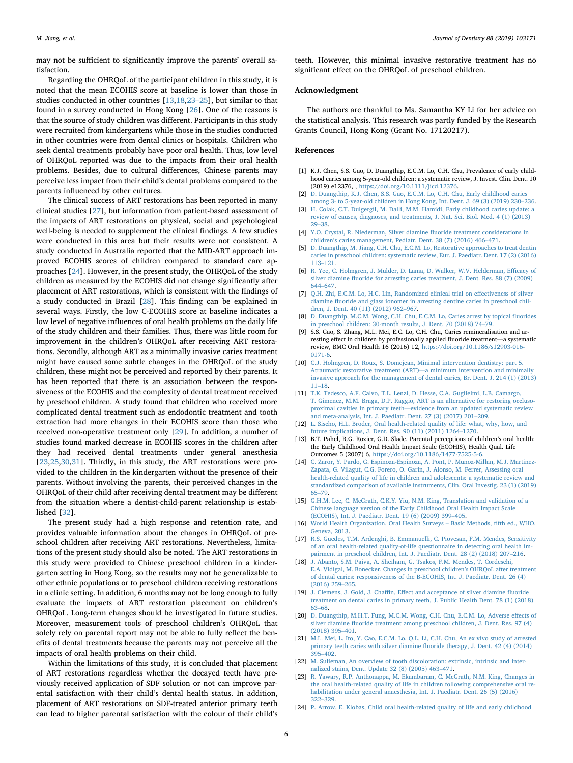may not be sufficient to significantly improve the parents' overall satisfaction.

Regarding the OHRQoL of the participant children in this study, it is noted that the mean ECOHIS score at baseline is lower than those in studies conducted in other countries [13,18,23–25], but similar to that found in a survey conducted in Hong Kong [26]. One of the reasons is that the source of study children was different. Participants in this study were recruited from kindergartens while those in the studies conducted in other countries were from dental clinics or hospitals. Children who seek dental treatments probably have poor oral health. Thus, low level of OHRQoL reported was due to the impacts from their oral health problems. Besides, due to cultural differences, Chinese parents may perceive less impact from their child's dental problems compared to the parents influenced by other cultures.

The clinical success of ART restorations has been reported in many clinical studies [27], but information from patient-based assessment of the impacts of ART restorations on physical, social and psychological well-being is needed to supplement the clinical findings. A few studies were conducted in this area but their results were not consistent. A study conducted in Australia reported that the MID-ART approach improved ECOHIS scores of children compared to standard care approaches [24]. However, in the present study, the OHRQoL of the study children as measured by the ECOHIS did not change significantly after placement of ART restorations, which is consistent with the findings of a study conducted in Brazil [28]. This finding can be explained in several ways. Firstly, the low C-ECOHIS score at baseline indicates a low level of negative influences of oral health problems on the daily life of the study children and their families. Thus, there was little room for improvement in the children's OHRQoL after receiving ART restorations. Secondly, although ART as a minimally invasive caries treatment might have caused some subtle changes in the OHRQoL of the study children, these might not be perceived and reported by their parents. It has been reported that there is an association between the responsiveness of the ECOHIS and the complexity of dental treatment received by preschool children. A study found that children who received more complicated dental treatment such as endodontic treatment and tooth extraction had more changes in their ECOHIS score than those who received non-operative treatment only [29]. In addition, a number of studies found marked decrease in ECOHIS scores in the children after they had received dental treatments under general anesthesia [23,25,30,31]. Thirdly, in this study, the ART restorations were provided to the children in the kindergarten without the presence of their parents. Without involving the parents, their perceived changes in the OHRQoL of their child after receiving dental treatment may be different from the situation where a dentist-child-parent relationship is established [32].

The present study had a high response and retention rate, and provides valuable information about the changes in OHRQoL of preschool children after receiving ART restorations. Nevertheless, limitations of the present study should also be noted. The ART restorations in this study were provided to Chinese preschool children in a kindergarten setting in Hong Kong, so the results may not be generalizable to other ethnic populations or to preschool children receiving restorations in a clinic setting. In addition, 6 months may not be long enough to fully evaluate the impacts of ART restoration placement on children's OHRQoL. Long-term changes should be investigated in future studies. Moreover, measurement tools of preschool children's OHRQoL that solely rely on parental report may not be able to fully reflect the benefits of dental treatments because the parents may not perceive all the impacts of oral health problems on their child.

Within the limitations of this study, it is concluded that placement of ART restorations regardless whether the decayed teeth have previously received application of SDF solution or not can improve parental satisfaction with their child's dental health status. In addition, placement of ART restorations on SDF-treated anterior primary teeth can lead to higher parental satisfaction with the colour of their child's

teeth. However, this minimal invasive restorative treatment has no significant effect on the OHRQoL of preschool children.

## **Acknowledgment**

The authors are thankful to Ms. Samantha KY Li for her advice on the statistical analysis. This research was partly funded by the Research Grants Council, Hong Kong (Grant No. 17120217).

## **References**

- [1] K.J. Chen, S.S. Gao, D. Duangthip, E.C.M. Lo, C.H. Chu, Prevalence of early childhood caries among 5-year-old children: a systematic review, J. Invest. Clin. Dent. 10 (2019) e12376, , https://doi.org/10.1111/jicd.12376.
- [2] D. Duangthip, K.J. Chen, S.S. Gao, E.C.M. Lo, C.H. Chu, Early childhood caries among 3- to 5-year-old children in Hong Kong, Int. Dent. J. 69 (3) (2019) 230–236.
- [3] H. Colak, C.T. Dulgergil, M. Dalli, M.M. Hamidi, Early childhood caries update: a review of causes, diagnoses, and treatments, J. Nat. Sci. Biol. Med. 4 (1) (2013) 29–38.
- [4] Y.O. Crystal, R. Niederman, Silver diamine fluoride treatment considerations in children's caries management, Pediatr. Dent. 38 (7) (2016) 466–471.
- [5] D. Duangthip, M. Jiang, C.H. Chu, E.C.M. Lo, Restorative approaches to treat dentin caries in preschool children: systematic review, Eur. J. Paediatr. Dent. 17 (2) (2016) 113–121.
- [6] R. Yee, C. Holmgren, J. Mulder, D. Lama, D. Walker, W.V. Helderman, Efficacy of silver diamine fluoride for arresting caries treatment, J. Dent. Res. 88 (7) (2009) 644–647.
- [7] Q.H. Zhi, E.C.M. Lo, H.C. Lin, Randomized clinical trial on effectiveness of silver diamine fluoride and glass ionomer in arresting dentine caries in preschool children, J. Dent. 40 (11) (2012) 962–967.
- [8] D. Duangthip, M.C.M. Wong, C.H. Chu, E.C.M. Lo, Caries arrest by topical fluorides in preschool children: 30-month results, J. Dent. 70 (2018) 74–79.
- [9] S.S. Gao, S. Zhang, M.L. Mei, E.C. Lo, C.H. Chu, Caries remineralisation and arresting effect in children by professionally applied fluoride treatment—a systematic review, BMC Oral Health 16 (2016) 12, https://doi.org/10.1186/s12903-016- 0171-6.
- [10] C.J. Holmgren, D. Roux, S. Domejean, Minimal intervention dentistry: part 5. Atraumatic restorative treatment (ART)—a minimum intervention and minimally invasive approach for the management of dental caries, Br. Dent. J. 214 (1) (2013) 11–18.
- [11] T.K. Tedesco, A.F. Calvo, T.L. Lenzi, D. Hesse, C.A. Guglielmi, L.B. Camargo, T. Gimenez, M.M. Braga, D.P. Raggio, ART is an alternative for restoring occlusoproximal cavities in primary teeth—evidence from an updated systematic review and meta-analysis, Int. J. Paediatr. Dent. 27 (3) (2017) 201–209.
- [12] L. Sischo, H.L. Broder, Oral health-related quality of life: what, why, how, and future implications, J. Dent. Res. 90 (11) (2011) 1264–1270.
- [13] B.T. Pahel, R.G. Rozier, G.D. Slade, Parental perceptions of children's oral health: the Early Childhood Oral Health Impact Scale (ECOHIS), Health Qual. Life Outcomes 5 (2007) 6, https://doi.org/10.1186/1477-7525-5-6.
- [14] C. Zaror, Y. Pardo, G. Espinoza-Espinoza, A. Pont, P. Munoz-Millan, M.J. Martinez-Zapata, G. Vilagut, C.G. Forero, O. Garin, J. Alonso, M. Ferrer, Assessing oral health-related quality of life in children and adolescents: a systematic review and standardized comparison of available instruments, Clin. Oral Investig. 23 (1) (2019) 65–79.
- [15] G.H.M. Lee, C. McGrath, C.K.Y. Yiu, N.M. King, Translation and validation of a Chinese language version of the Early Childhood Oral Health Impact Scale (ECOHIS), Int. J. Paediatr. Dent. 19 (6) (2009) 399–405.
- [16] World Health Organization, Oral Health Surveys Basic Methods, fifth ed., WHO, Geneva, 2013.
- [17] R.S. Guedes, T.M. Ardenghi, B. Emmanuelli, C. Piovesan, F.M. Mendes, Sensitivity of an oral health-related quality-of-life questionnaire in detecting oral health impairment in preschool children, Int. J. Paediatr. Dent. 28 (2) (2018) 207–216.
- [18] J. Abanto, S.M. Paiva, A. Sheiham, G. Tsakos, F.M. Mendes, T. Cordeschi, E.A. Vidigal, M. Bonecker, Changes in preschool children's OHRQoL after treatment of dental caries: responsiveness of the B-ECOHIS, Int. J. Paediatr. Dent. 26 (4) (2016) 259–265.
- [19] J. Clemens, J. Gold, J. Chaffin, Effect and acceptance of silver diamine fluoride treatment on dental caries in primary teeth, J. Public Health Dent. 78 (1) (2018) 63–68.
- [20] D. Duangthip, M.H.T. Fung, M.C.M. Wong, C.H. Chu, E.C.M. Lo, Adverse effects of silver diamine fluoride treatment among preschool children, J. Dent. Res. 97 (4) (2018) 395–401.
- [21] M.L. Mei, L. Ito, Y. Cao, E.C.M. Lo, Q.L. Li, C.H. Chu, An ex vivo study of arrested primary teeth caries with silver diamine fluoride therapy, J. Dent. 42 (4) (2014)  $395 - 402$ .
- [22] M. Sulieman, An overview of tooth discoloration: extrinsic, intrinsic and internalized stains, Dent. Update 32 (8) (2005) 463–471.
- [23] R. Yawary, R.P. Anthonappa, M. Ekambaram, C. McGrath, N.M. King, Changes in the oral health-related quality of life in children following comprehensive oral rehabilitation under general anaesthesia, Int. J. Paediatr. Dent. 26 (5) (2016) 322–329.
- [24] P. Arrow, E. Klobas, Child oral health-related quality of life and early childhood